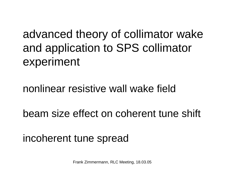advanced theory of collimator wake and application to SPS collimator experiment

# nonlinear resistive wall wake field

beam size effect on coherent tune shift

# incoherent tune spread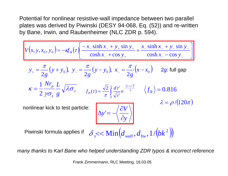Potential for nonlinear resistive-wall impedance between two parallel plates was derived by Piwinski (DESY 94-068, Eq. (52)) and re-written by Bane, Irwin, and Raubenheimer (NLC ZDR p. 594).

$$
V(x, y, x_0, y_0) = -\kappa f_R(\tau) \left[ \frac{-x_- \sinh x_- + y_+ \sin y_+}{\cosh x_+ + \cos y_+} + \frac{x_- \sinh x_- + y_- \sin y_-}{\cosh x_- - \cos y_-} \right]
$$
  
\n
$$
y_+ = \frac{\pi}{2g} (y + y_0), y_- = \frac{\pi}{2g} (y - y_0), x_- = \frac{\pi}{2g} (x - x_0) \quad 2g: \text{full gap}
$$
  
\n
$$
\kappa = \frac{1}{2} \frac{Nr_p}{\gamma \sigma_z} \frac{L}{g} \sqrt{\lambda \sigma_z} \qquad f_R(\tau) = \frac{\sqrt{2}}{\pi} \int_0^\infty \frac{d\tau'}{\sqrt{\tau'}} e^{-\frac{(\tau + \tau')^2}{2}} \quad \langle f_R \rangle = 0.816
$$
  
\nnonlinear kick to test particle:  
\n
$$
\Delta y' = -\left\langle \frac{\partial V}{\partial y} \right\rangle \qquad \lambda = \rho/(120\pi)
$$
  
\nPiwinski formula applies if  $\delta_s \ll \text{Min} (d_{wall}, d_{bw}, 1/(bk^2))$ 

*many thanks to Karl Bane who helped understanding ZDR typos & incorrect reference*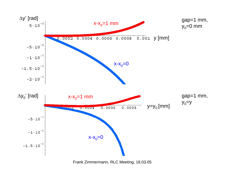

Frank Zimmermann, RLC Meeting, 18.03.05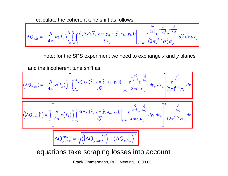I calculate the coherent tune shift as follows

$$
\Delta Q_{coh} = -\frac{\beta}{4\pi} \kappa \langle f_R \rangle \int_{-\infty-\infty-g}^{\infty} \int_{-\infty-\infty-g}^{g} \frac{\partial (\Delta y'(\tilde{x}, y = y_0 + \tilde{y}, x_0, y_0))}{\partial y_0} \Bigg|_{y_0=0} = \frac{e^{-\frac{\tilde{y}^2}{2\sigma_y^2}} e^{-\frac{x^2}{2\sigma_x^2}} e^{-\frac{x_0^2}{2\sigma_x^2}}}{(2\pi)^{3/2} \sigma_x^2 \sigma_y} d\tilde{y} dx dx_0
$$

note: for the SPS experiment we need to exchange *x* and *y* planes

and the incoherent tune shift as

$$
\langle \Delta Q_{y,inc} \rangle = -\frac{\beta}{4\pi} \kappa \langle f_R \rangle \int_{-\infty}^{\infty} \left[ \int_{-\infty}^{\infty} \int_{-\infty}^{\beta} \frac{\partial (\Delta y'(\tilde{x}, y = \tilde{y}, x_0, y_0))}{\partial \tilde{y}} \Big|_{\tilde{y}=0} \frac{e^{-\frac{y_0^2}{2\sigma_y^2}} e^{-\frac{x_0^2}{2\sigma_x^2}}}{2\pi \sigma_x \sigma_y} dy_0 dx_0 \frac{e^{-\frac{y_0^2}{2\sigma_x^2}}}{2\pi \sigma_x \sigma_y} dx
$$

$$
\langle (\Delta Q_{y,inc})^2 \rangle = \int_{-\infty}^{\infty} \left[ \frac{\beta}{4\pi} \kappa \langle f_R \rangle \int_{-\infty}^{\infty} \int_{-\infty}^{\beta} \frac{\partial (\Delta y'(\tilde{x}, y = \tilde{y}, x_0, y_0))}{\partial \tilde{y}} \Big|_{\tilde{y}=0} \frac{e^{-\frac{y_0^2}{2\sigma_y^2}} e^{-\frac{x_0^2}{2\sigma_x^2}}}{2\pi \sigma_x \sigma_y} dy_0 dx_0} \frac{e^{-\frac{y_0^2}{2\sigma_x^2}}}{(2\pi)^{1/2} \sigma_x} dx
$$

$$
\Delta Q_{y,rms}^{rms} = \sqrt{\langle (\Delta Q_{y,inc})^2 \rangle - \langle \Delta Q_{y,inc} \rangle^2}
$$

### equations take scraping losses into account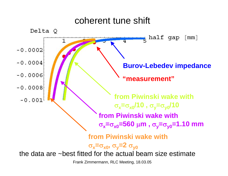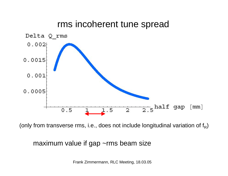## rms incoherent tune spread



(only from transverse rms, i.e., does not include longitudinal variation of  $f_R$ )

### maximum value if gap ~rms beam size